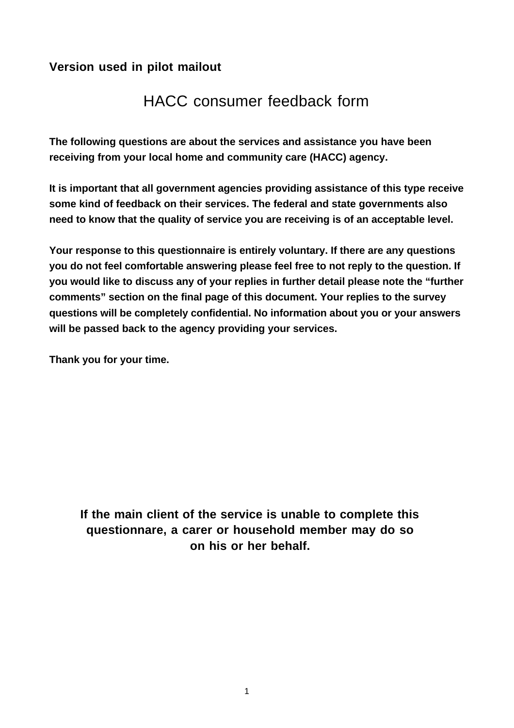#### **Version used in pilot mailout**

#### HACC consumer feedback form

**The following questions are about the services and assistance you have been receiving from your local home and community care (HACC) agency.**

**It is important that all government agencies providing assistance of this type receive some kind of feedback on their services. The federal and state governments also need to know that the quality of service you are receiving is of an acceptable level.**

**Your response to this questionnaire is entirely voluntary. If there are any questions you do not feel comfortable answering please feel free to not reply to the question. If you would like to discuss any of your replies in further detail please note the "further comments" section on the final page of this document. Your replies to the survey questions will be completely confidential. No information about you or your answers will be passed back to the agency providing your services.**

**Thank you for your time.**

**If the main client of the service is unable to complete this questionnare, a carer or household member may do so on his or her behalf.**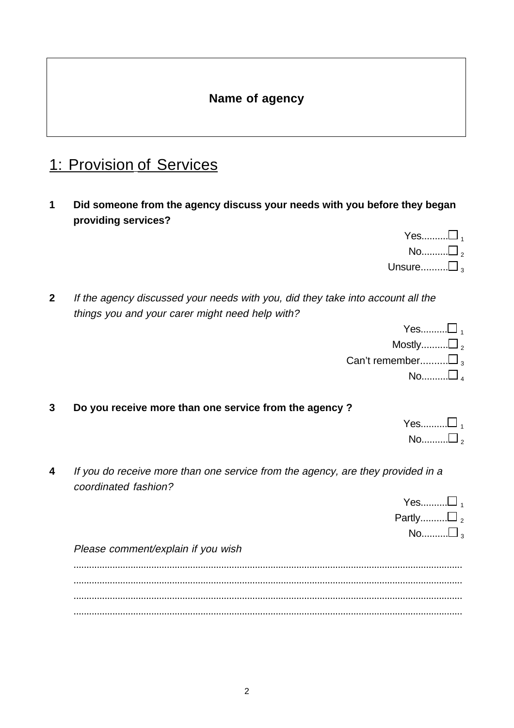#### **Name of agency**

## 1: Provision of Services

**1 Did someone from the agency discuss your needs with you before they began providing services?**

| Yes $\Box$ $_{\textrm{\tiny{\char'12}}\textrm{\tiny{\char'12}}\textrm{\tiny{\char'12}}\cdots}$ |  |
|------------------------------------------------------------------------------------------------|--|
| $\mathsf{No}\dots\ldots\mathsf{L}$                                                             |  |
| Unsure $\square$ <sub>3</sub>                                                                  |  |

**2** If the agency discussed your needs with you, did they take into account all the things you and your carer might need help with?

| $Yes.$ $\square$ ,                  |  |
|-------------------------------------|--|
| Mostly $\Box$ ,                     |  |
| Can't remember $\Box$ $_{\tiny{3}}$ |  |
| No $\Box$                           |  |

**3 Do you receive more than one service from the agency ?**

| <u>მა</u> |  |
|-----------|--|
| .         |  |

**4** If you do receive more than one service from the agency, are they provided in a coordinated fashion?

| Yesロ <sub>1</sub>         |  |
|---------------------------|--|
| Partly $\Box$ ,           |  |
| No $\square$ <sub>3</sub> |  |

Please comment/explain if you wish

...................................................................................................................................................... ...................................................................................................................................................... ...................................................................................................................................................... ......................................................................................................................................................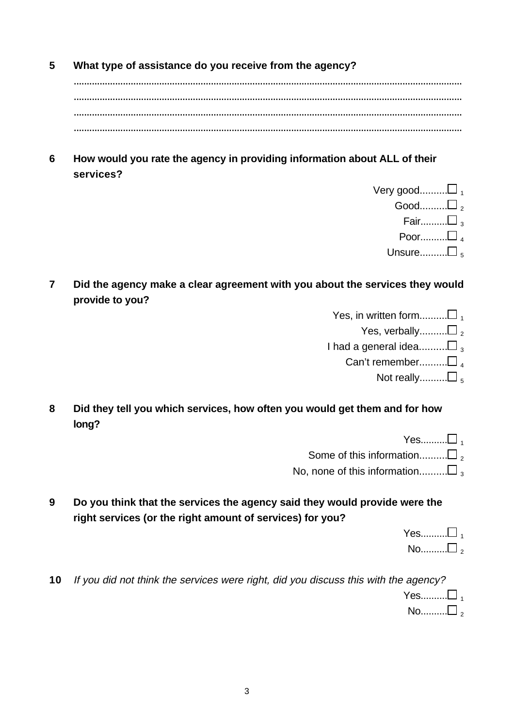**5 What type of assistance do you receive from the agency?**

...................................................................................................................................................... ...................................................................................................................................................... ...................................................................................................................................................... ......................................................................................................................................................

**6 How would you rate the agency in providing information about ALL of their services?**

| Very good $\square$      |  |
|--------------------------|--|
| Good $\Box$ ,            |  |
| Fair $\Box$ $_{\tiny 3}$ |  |
| Poor $\Box$              |  |
| Unsure $\Box$ $_{5}$     |  |

**7 Did the agency make a clear agreement with you about the services they would provide to you?**

| Yes, in written form $\square$ |
|--------------------------------|
| Yes, verbally $\square$ ,      |
| I had a general idea $\square$ |
| Can't remember $\Box$          |
| Not really $\square$           |
|                                |

**8 Did they tell you which services, how often you would get them and for how long?**

 $Yes.......... \square$ 

Some of this information.......... $\square$ ,

No, none of this information.......... $\Box$ 

**9 Do you think that the services the agency said they would provide were the right services (or the right amount of services) for you?**

| ບຮ……….   |   |
|----------|---|
| <u>)</u> | っ |

**10** If you did not think the services were right, did you discuss this with the agency? Yes......... $\Box$ 

 $No$ ........ $\Box$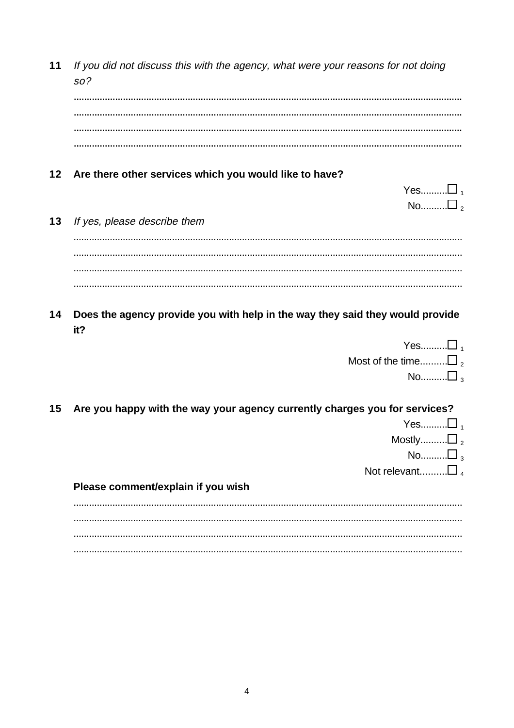$11$ If you did not discuss this with the agency, what were your reasons for not doing  $SO<sub>2</sub>$ 

 $12$ Are there other services which you would like to have?

| esL |  |
|-----|--|
| 0.  |  |

- If yes, please describe them  $13$
- $14$ Does the agency provide you with help in the way they said they would provide  $it<sub>2</sub>$

| Yesロ ,                       |
|------------------------------|
| Most of the time $\square$ , |
| No $\Box$ <sub>3</sub>       |

 $15$ Are you happy with the way your agency currently charges you for services?

|                                    | Yes $\Box$                |
|------------------------------------|---------------------------|
|                                    | Mostly $\Box$ ,           |
|                                    | No $\square$ <sub>3</sub> |
|                                    | Not relevant $\square$    |
| Please comment/explain if you wish |                           |
|                                    |                           |
|                                    |                           |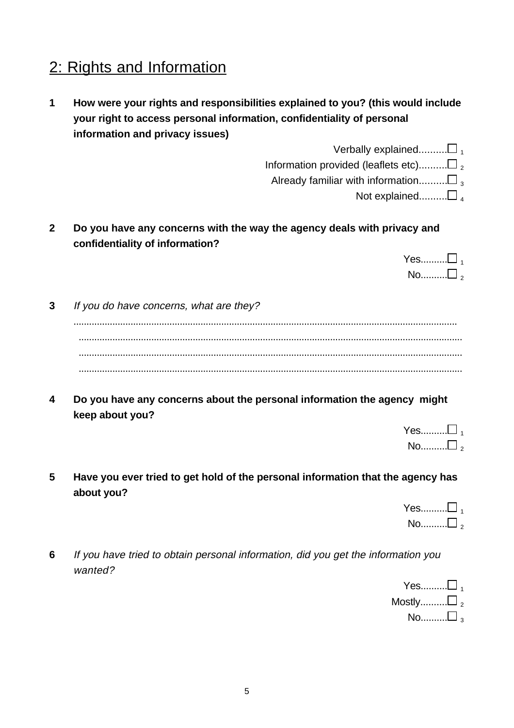# 2: Rights and Information

- **1 How were your rights and responsibilities explained to you? (this would include your right to access personal information, confidentiality of personal information and privacy issues)**
	- Verbally explained.......... $\Box$

Information provided (leaflets etc).......... $\square$ ,

Already familiar with information......... $\Box$ <sub>3</sub>

Not explained......... $\Box$ 

**2 Do you have any concerns with the way the agency deals with privacy and confidentiality of information?**

| 62r         |  |
|-------------|--|
| ). <b>.</b> |  |

- **3** If you do have concerns, what are they? .................................................................................................................................................... .................................................................................................................................................... .................................................................................................................................................... ....................................................................................................................................................
- **4 Do you have any concerns about the personal information the agency might keep about you?**

| ບລ………∟ |  |
|--------|--|
| ,      |  |

**5 Have you ever tried to get hold of the personal information that the agency has about you?**

| <b>es</b> |               |
|-----------|---------------|
| 0. L      | $\mathcal{P}$ |

**6** If you have tried to obtain personal information, did you get the information you wanted?

> $Yes......... \square_1$ Mostly......... $\Box$ , No........ $\Box$ <sub>3</sub>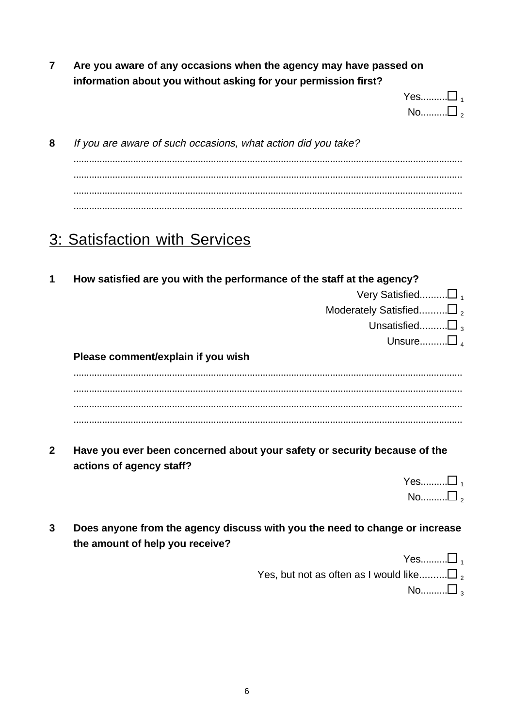$\overline{7}$ Are you aware of any occasions when the agency may have passed on information about you without asking for your permission first?

| 62 |  |
|----|--|
| ). |  |

8 If you are aware of such occasions, what action did you take? 

#### 3: Satisfaction with Services

- $\mathbf 1$ How satisfied are you with the performance of the staff at the agency? Very Satisfied......... $\Box$ Moderately Satisfied......... $\square$ , Unsatisfied......... $\square$ Unsure......... $\Box$ Please comment/explain if you wish
- $2<sup>1</sup>$ Have you ever been concerned about your safety or security because of the actions of agency staff?

| ,5I<br>- |  |
|----------|--|
| ,        |  |

 $\overline{3}$ Does anyone from the agency discuss with you the need to change or increase the amount of help you receive?

> $Yes... m. \Box$ Yes, but not as often as I would like......... $\square$ , No......... $\Box$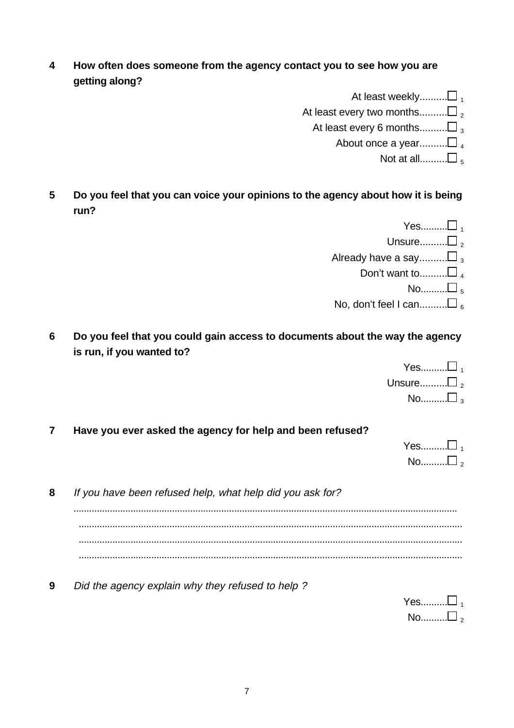**4 How often does someone from the agency contact you to see how you are getting along?**

> At least weekly.......... $\square$ At least every two months.......... $\Box$ , At least every 6 months.......... $\Box$ About once a year.......... $\square$ Not at all......... $\Box$

**5 Do you feel that you can voice your opinions to the agency about how it is being run?**

|                                        | Yes $\Box$           |
|----------------------------------------|----------------------|
|                                        | Unsure $\square$ ,   |
| Already have a say $\Box$ $_{\tiny 3}$ |                      |
|                                        | Don't want to $\Box$ |
|                                        | No $\square$         |
|                                        |                      |
|                                        |                      |

**6 Do you feel that you could gain access to documents about the way the agency is run, if you wanted to?**

| Yesロ <sub>1</sub>      |  |
|------------------------|--|
| Unsure $\Box$ ,        |  |
| No $\Box$ <sub>3</sub> |  |

**7 Have you ever asked the agency for help and been refused?**

| 65 <b>.</b> |   |
|-------------|---|
| J.          | っ |

- **8** If you have been refused help, what help did you ask for? .................................................................................................................................................... .................................................................................................................................................... .................................................................................................................................................... ....................................................................................................................................................
- **9** Did the agency explain why they refused to help ?

| Y es………L |  |
|----------|--|
| l0L      |  |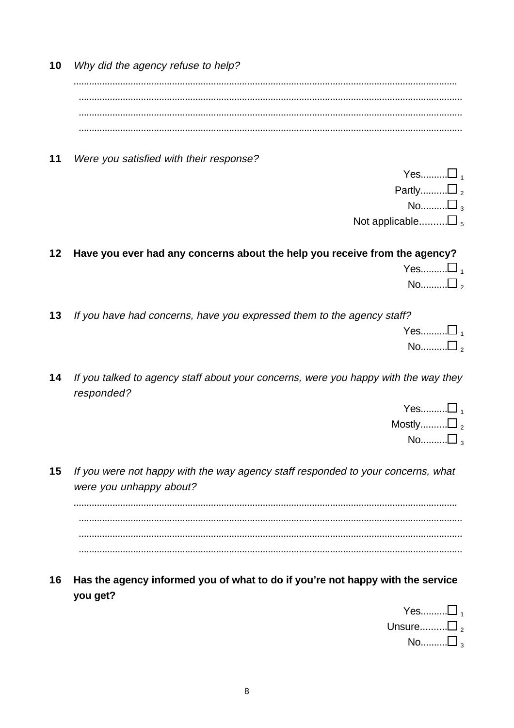Why did the agency refuse to help? 10 

 $11$ Were you satisfied with their response?

|                          | Yes□ .       |
|--------------------------|--------------|
| Partly $\square$ ,       |              |
|                          | No $\square$ |
| Not applicable $\square$ |              |

12 Have you ever had any concerns about the help you receive from the agency? Yes......... $\Box$  $\mathsf{No}\dots\ldots\mathsf{No}$ 

If you have had concerns, have you expressed them to the agency staff?  $13$ 

| ⊏ວ……… |  |
|-------|--|
| . 1   |  |

 $14$ If you talked to agency staff about your concerns, were you happy with the way they responded?

| Yesロ <sub>←</sub> |  |
|-------------------|--|
| Mostly $\Box$ ,   |  |
| No $\square$      |  |

 $15$ If you were not happy with the way agency staff responded to your concerns, what were you unhappy about?

Has the agency informed you of what to do if you're not happy with the service  $16$ you get?

| $YesL_1$                                       |  |
|------------------------------------------------|--|
| Unsure $\Box$ $_{\tiny 2}$                     |  |
| $\mathsf{No}\dots\ldots\mathsf{L}\mathsf{L}_3$ |  |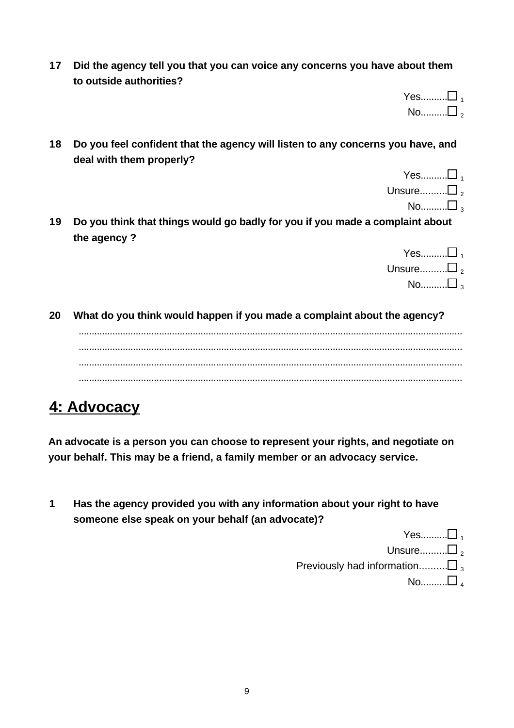**17 Did the agency tell you that you can voice any concerns you have about them to outside authorities?**

| <del>∪</del> ຮ………. |  |
|--------------------|--|
| 0l                 |  |

**18 Do you feel confident that the agency will listen to any concerns you have, and deal with them properly?**

| Yes $\Box$ <sub>1</sub>             |  |
|-------------------------------------|--|
| Unsure $\Box$ ,                     |  |
| $\mathsf{No}\dots\ldots\mathsf{on}$ |  |

**19 Do you think that things would go badly for you if you made a complaint about the agency ?**

| $Yes\_$                   |  |
|---------------------------|--|
| Unsure $\Box$ ,           |  |
| No $\square$ <sub>3</sub> |  |

**20 What do you think would happen if you made a complaint about the agency?**

## **4: Advocacy**

**An advocate is a person you can choose to represent your rights, and negotiate on your behalf. This may be a friend, a family member or an advocacy service.**

**1 Has the agency provided you with any information about your right to have someone else speak on your behalf (an advocate)?**

| $Yes m. \Box_4$                      |
|--------------------------------------|
| Unsure $\square$ ,                   |
| Previously had information $\square$ |
| No $\Box$                            |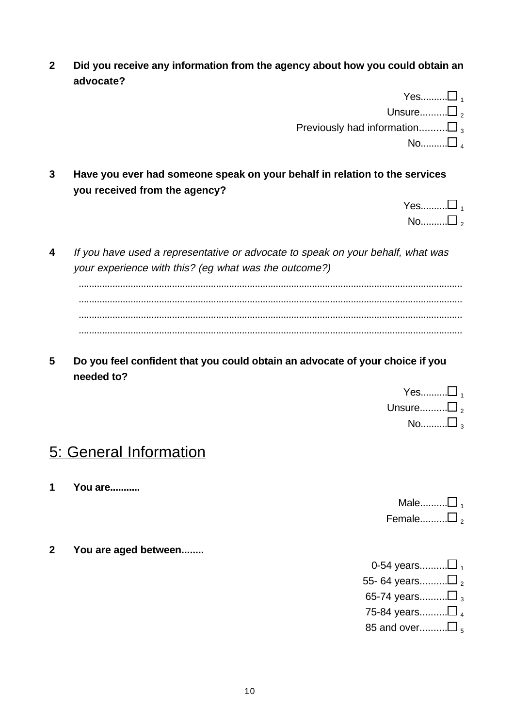**2 Did you receive any information from the agency about how you could obtain an advocate?**

| Yes $\Box$                           |
|--------------------------------------|
| Unsure $\square$ ,                   |
| Previously had information $\square$ |
| No $\Box$                            |

**3 Have you ever had someone speak on your behalf in relation to the services you received from the agency?**

| es |  |
|----|--|
| 0. |  |

**4** If you have used a representative or advocate to speak on your behalf, what was your experience with this? (eg what was the outcome?)

.................................................................................................................................................... .................................................................................................................................................... .................................................................................................................................................... ....................................................................................................................................................

**5 Do you feel confident that you could obtain an advocate of your choice if you needed to?**

| Yes $\Box$ $_{\textrm{\tiny{\char'12}}\textrm{\tiny{\char'12}}\textrm{\tiny{\char'12}}\cdots}$ |  |
|------------------------------------------------------------------------------------------------|--|
| Unsure $\square$ <sub>2</sub>                                                                  |  |
| No $\square$ <sub>3</sub>                                                                      |  |

## 5: General Information

**1 You are...........**

| Male $\Box$                |  |
|----------------------------|--|
| Female $\Box$ <sub>2</sub> |  |

**2 You are aged between........**

0-54 years.......... $\Box$ 55- 64 years.......... $\square$ , 65-74 years.......... $\square_{3}$ 75-84 years......... $\Box$ 85 and over......... $\square$